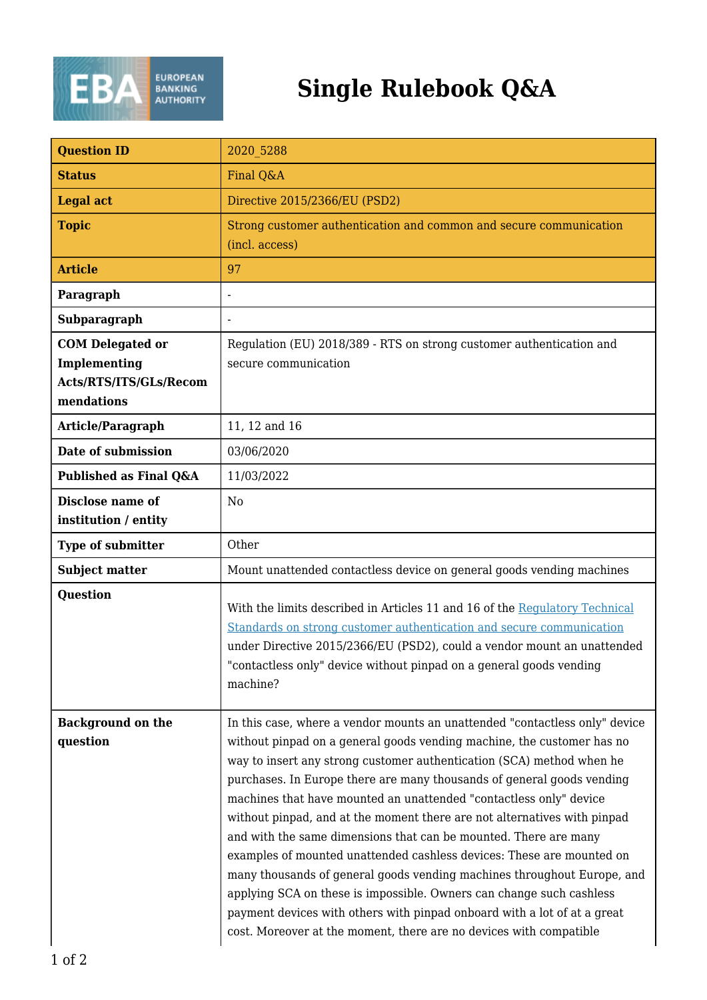

## **Single Rulebook Q&A**

| <b>Question ID</b>                                                              | 2020 5288                                                                                                                                                                                                                                                                                                                                                                                                                                                                                                                                                                                                                                                                                                                                                                                                                                                                                                    |
|---------------------------------------------------------------------------------|--------------------------------------------------------------------------------------------------------------------------------------------------------------------------------------------------------------------------------------------------------------------------------------------------------------------------------------------------------------------------------------------------------------------------------------------------------------------------------------------------------------------------------------------------------------------------------------------------------------------------------------------------------------------------------------------------------------------------------------------------------------------------------------------------------------------------------------------------------------------------------------------------------------|
| <b>Status</b>                                                                   | Final Q&A                                                                                                                                                                                                                                                                                                                                                                                                                                                                                                                                                                                                                                                                                                                                                                                                                                                                                                    |
| <b>Legal act</b>                                                                | Directive 2015/2366/EU (PSD2)                                                                                                                                                                                                                                                                                                                                                                                                                                                                                                                                                                                                                                                                                                                                                                                                                                                                                |
| <b>Topic</b>                                                                    | Strong customer authentication and common and secure communication<br>(incl. access)                                                                                                                                                                                                                                                                                                                                                                                                                                                                                                                                                                                                                                                                                                                                                                                                                         |
| <b>Article</b>                                                                  | 97                                                                                                                                                                                                                                                                                                                                                                                                                                                                                                                                                                                                                                                                                                                                                                                                                                                                                                           |
| Paragraph                                                                       |                                                                                                                                                                                                                                                                                                                                                                                                                                                                                                                                                                                                                                                                                                                                                                                                                                                                                                              |
| Subparagraph                                                                    |                                                                                                                                                                                                                                                                                                                                                                                                                                                                                                                                                                                                                                                                                                                                                                                                                                                                                                              |
| <b>COM Delegated or</b><br>Implementing<br>Acts/RTS/ITS/GLs/Recom<br>mendations | Regulation (EU) 2018/389 - RTS on strong customer authentication and<br>secure communication                                                                                                                                                                                                                                                                                                                                                                                                                                                                                                                                                                                                                                                                                                                                                                                                                 |
| Article/Paragraph                                                               | 11, 12 and 16                                                                                                                                                                                                                                                                                                                                                                                                                                                                                                                                                                                                                                                                                                                                                                                                                                                                                                |
| Date of submission                                                              | 03/06/2020                                                                                                                                                                                                                                                                                                                                                                                                                                                                                                                                                                                                                                                                                                                                                                                                                                                                                                   |
| Published as Final Q&A                                                          | 11/03/2022                                                                                                                                                                                                                                                                                                                                                                                                                                                                                                                                                                                                                                                                                                                                                                                                                                                                                                   |
| Disclose name of<br>institution / entity                                        | N <sub>o</sub>                                                                                                                                                                                                                                                                                                                                                                                                                                                                                                                                                                                                                                                                                                                                                                                                                                                                                               |
| <b>Type of submitter</b>                                                        | Other                                                                                                                                                                                                                                                                                                                                                                                                                                                                                                                                                                                                                                                                                                                                                                                                                                                                                                        |
| <b>Subject matter</b>                                                           | Mount unattended contactless device on general goods vending machines                                                                                                                                                                                                                                                                                                                                                                                                                                                                                                                                                                                                                                                                                                                                                                                                                                        |
| <b>Question</b>                                                                 | With the limits described in Articles 11 and 16 of the Regulatory Technical<br>Standards on strong customer authentication and secure communication<br>under Directive 2015/2366/EU (PSD2), could a vendor mount an unattended<br>"contactless only" device without pinpad on a general goods vending<br>machine?                                                                                                                                                                                                                                                                                                                                                                                                                                                                                                                                                                                            |
| <b>Background on the</b><br>question                                            | In this case, where a vendor mounts an unattended "contactless only" device<br>without pinpad on a general goods vending machine, the customer has no<br>way to insert any strong customer authentication (SCA) method when he<br>purchases. In Europe there are many thousands of general goods vending<br>machines that have mounted an unattended "contactless only" device<br>without pinpad, and at the moment there are not alternatives with pinpad<br>and with the same dimensions that can be mounted. There are many<br>examples of mounted unattended cashless devices: These are mounted on<br>many thousands of general goods vending machines throughout Europe, and<br>applying SCA on these is impossible. Owners can change such cashless<br>payment devices with others with pinpad onboard with a lot of at a great<br>cost. Moreover at the moment, there are no devices with compatible |